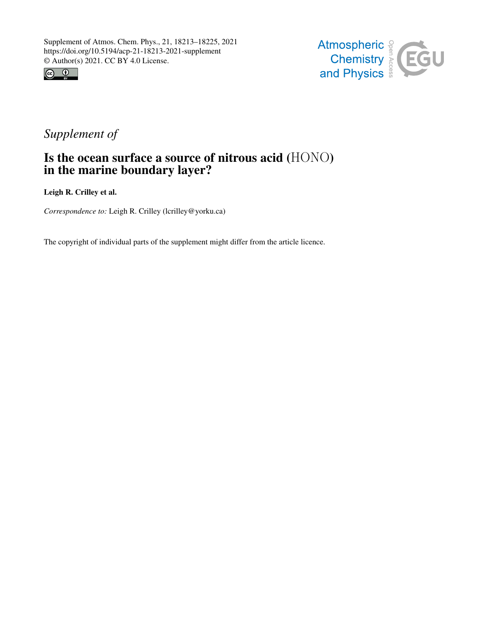



## *Supplement of*

## Is the ocean surface a source of nitrous acid (HONO) in the marine boundary layer?

Leigh R. Crilley et al.

*Correspondence to:* Leigh R. Crilley (lcrilley@yorku.ca)

The copyright of individual parts of the supplement might differ from the article licence.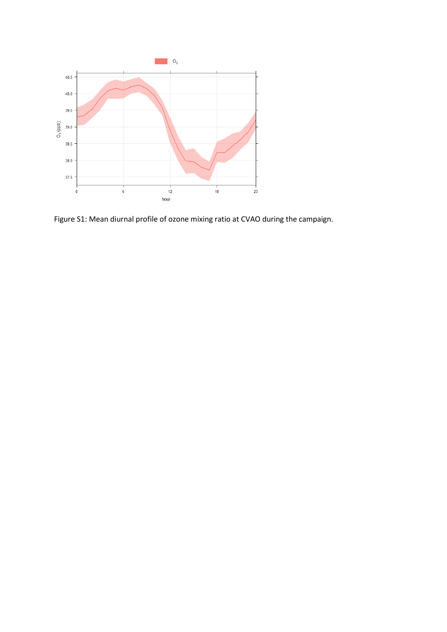

Figure S1: Mean diurnal profile of ozone mixing ratio at CVAO during the campaign.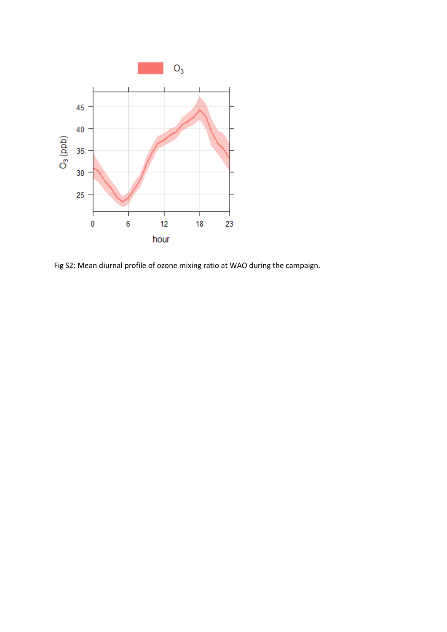

Fig S2: Mean diurnal profile of ozone mixing ratio at WAO during the campaign.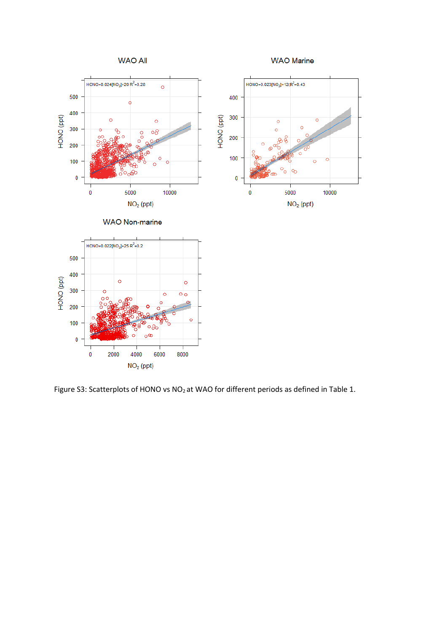

Figure S3: Scatterplots of HONO vs NO<sub>2</sub> at WAO for different periods as defined in Table 1.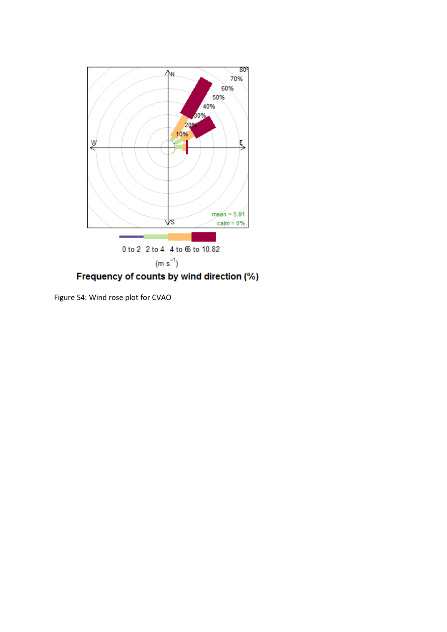

Figure S4: Wind rose plot for CVAO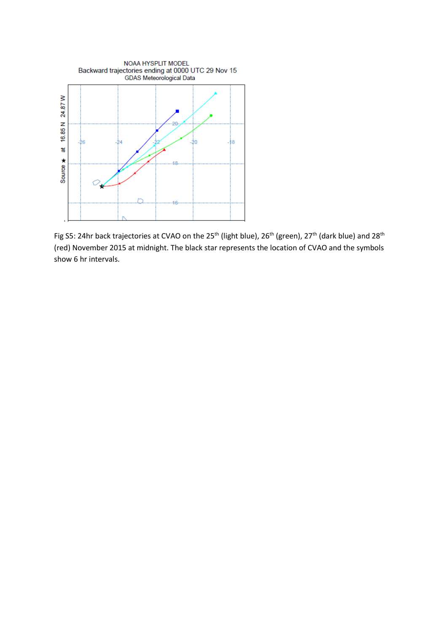

Fig S5: 24hr back trajectories at CVAO on the 25<sup>th</sup> (light blue), 26<sup>th</sup> (green), 27<sup>th</sup> (dark blue) and 28<sup>th</sup> (red) November 2015 at midnight. The black star represents the location of CVAO and the symbols show 6 hr intervals.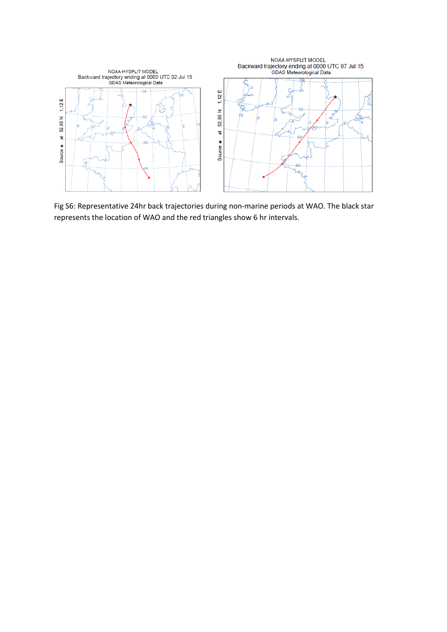

Fig S6: Representative 24hr back trajectories during non-marine periods at WAO. The black star represents the location of WAO and the red triangles show 6 hr intervals.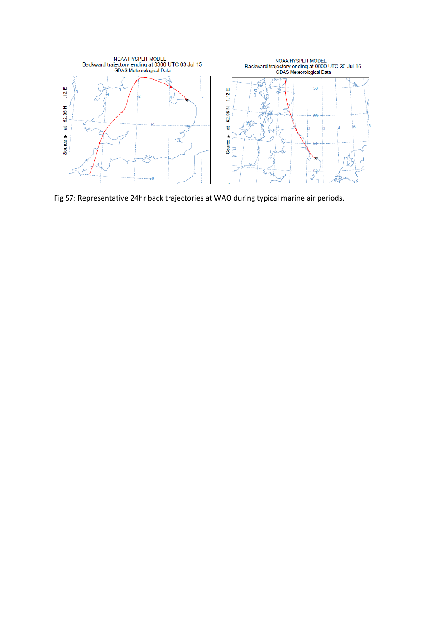

Fig S7: Representative 24hr back trajectories at WAO during typical marine air periods.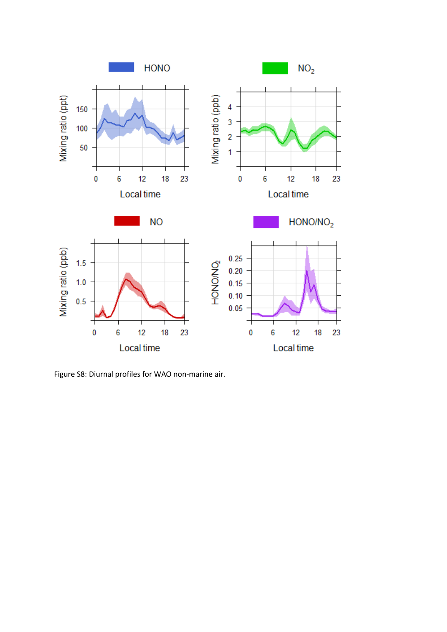

Figure S8: Diurnal profiles for WAO non-marine air.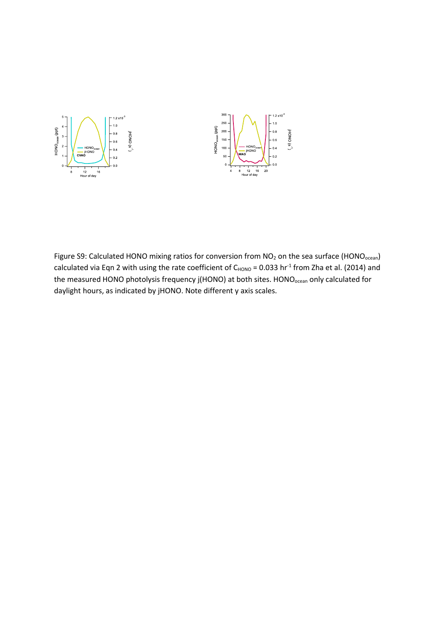

Figure S9: Calculated HONO mixing ratios for conversion from NO<sub>2</sub> on the sea surface (HONO<sub>ocean</sub>) calculated via Eqn 2 with using the rate coefficient of  $C_{HONO} = 0.033$  hr<sup>-1</sup> from Zha et al. (2014) and the measured HONO photolysis frequency j(HONO) at both sites. HONO<sub>ocean</sub> only calculated for daylight hours, as indicated by jHONO. Note different y axis scales.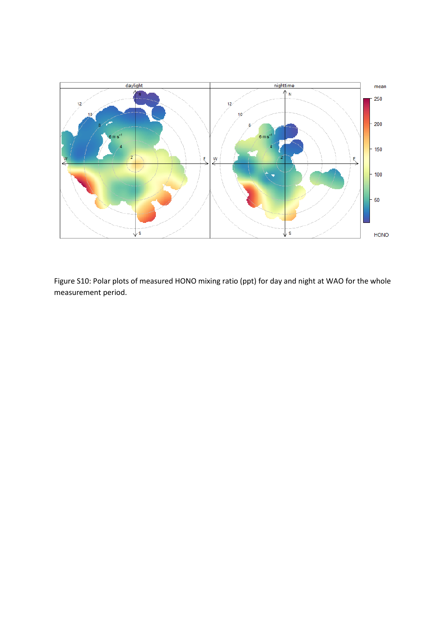

Figure S10: Polar plots of measured HONO mixing ratio (ppt) for day and night at WAO for the whole measurement period.